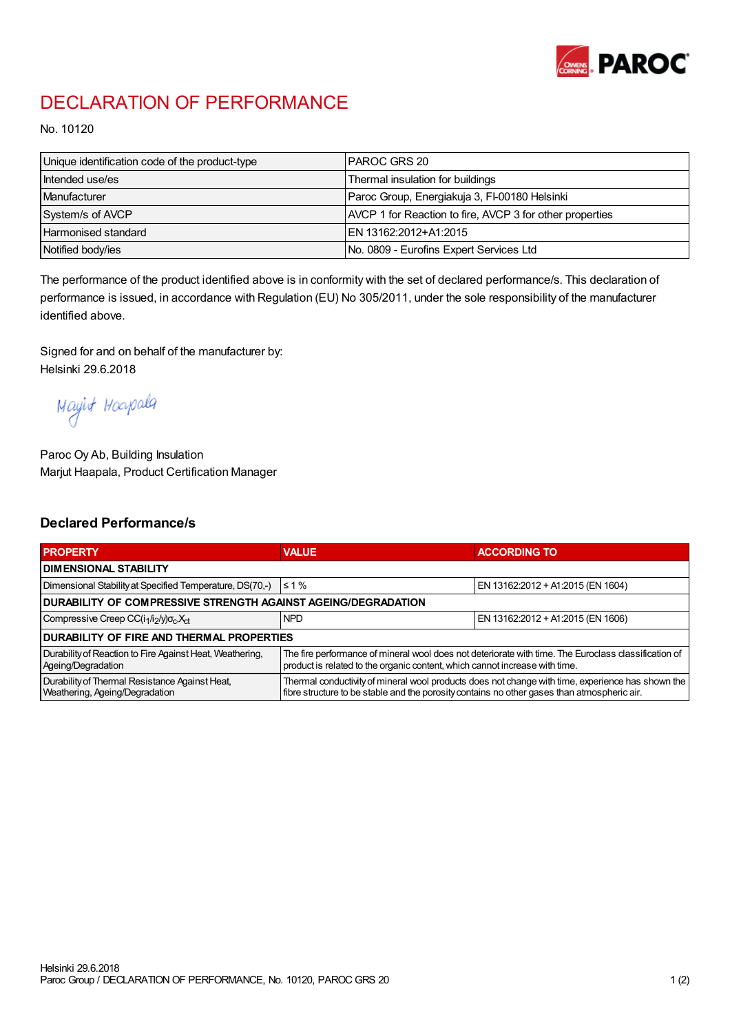

## DECLARATION OF PERFORMANCE

No. 10120

| Unique identification code of the product-type | I PAROC GRS 20                                           |
|------------------------------------------------|----------------------------------------------------------|
| Intended use/es                                | Thermal insulation for buildings                         |
| Manufacturer                                   | Paroc Group, Energiakuja 3, FI-00180 Helsinki            |
| System/s of AVCP                               | AVCP 1 for Reaction to fire, AVCP 3 for other properties |
| <b>Harmonised standard</b>                     | EN 13162:2012+A1:2015                                    |
| Notified body/ies                              | No. 0809 - Eurofins Expert Services Ltd                  |

The performance of the product identified above is in conformity with the set of declared performance/s. This declaration of performance is issued, in accordance with Regulation (EU) No 305/2011, under the sole responsibility of the manufacturer identified above.

Signed for and on behalf of the manufacturer by: Helsinki 29.6.2018

Mayirt Hoapala

Paroc Oy Ab, Building Insulation Marjut Haapala, Product Certification Manager

## Declared Performance/s

| <b>PROPERTY</b>                                                                  | <b>VALUE</b>                                                                                                                                                                                     | <b>ACCORDING TO</b>               |  |  |
|----------------------------------------------------------------------------------|--------------------------------------------------------------------------------------------------------------------------------------------------------------------------------------------------|-----------------------------------|--|--|
| <b>I DIMENSIONAL STABILITY</b>                                                   |                                                                                                                                                                                                  |                                   |  |  |
| Dimensional Stability at Specified Temperature, DS(70,-)                         | $\leq 1\%$                                                                                                                                                                                       | EN 13162:2012 + A1:2015 (EN 1604) |  |  |
| DURABILITY OF COMPRESSIVE STRENGTH AGAINST AGEING/DEGRADATION                    |                                                                                                                                                                                                  |                                   |  |  |
| Compressive Creep CC(i <sub>1</sub> /i <sub>2</sub> /y) $\sigma_c X_{ct}$        | <b>NPD</b>                                                                                                                                                                                       | EN 13162:2012 + A1:2015 (EN 1606) |  |  |
| I DURABILITY OF FIRE AND THERMAL PROPERTIES                                      |                                                                                                                                                                                                  |                                   |  |  |
| Durability of Reaction to Fire Against Heat, Weathering,<br>Ageing/Degradation   | The fire performance of mineral wool does not deteriorate with time. The Euroclass classification of<br>product is related to the organic content, which cannot increase with time.              |                                   |  |  |
| Durability of Thermal Resistance Against Heat,<br>Weathering, Ageing/Degradation | Thermal conductivity of mineral wool products does not change with time, experience has shown the<br>fibre structure to be stable and the porosity contains no other gases than atmospheric air. |                                   |  |  |